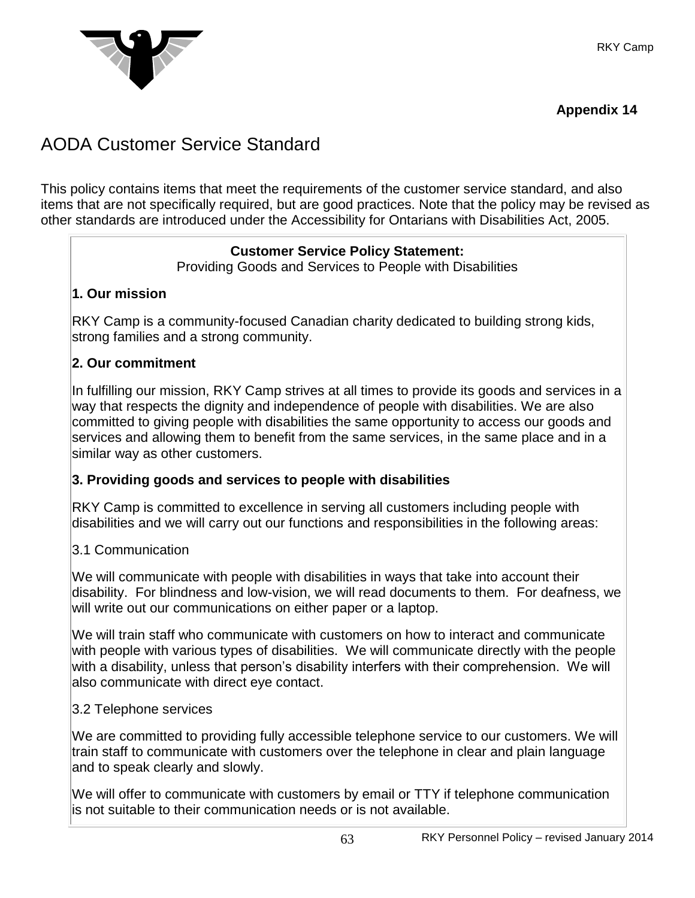

## **Appendix 14**

# AODA Customer Service Standard

This policy contains items that meet the requirements of the customer service standard, and also items that are not specifically required, but are good practices. Note that the policy may be revised as other standards are introduced under the Accessibility for Ontarians with Disabilities Act, 2005.

# **Customer Service Policy Statement:**

Providing Goods and Services to People with Disabilities

## **1. Our mission**

RKY Camp is a community-focused Canadian charity dedicated to building strong kids, strong families and a strong community.

#### **2. Our commitment**

In fulfilling our mission, RKY Camp strives at all times to provide its goods and services in a way that respects the dignity and independence of people with disabilities. We are also committed to giving people with disabilities the same opportunity to access our goods and services and allowing them to benefit from the same services, in the same place and in a similar way as other customers.

## **3. Providing goods and services to people with disabilities**

RKY Camp is committed to excellence in serving all customers including people with disabilities and we will carry out our functions and responsibilities in the following areas:

#### 3.1 Communication

We will communicate with people with disabilities in ways that take into account their disability. For blindness and low-vision, we will read documents to them. For deafness, we will write out our communications on either paper or a laptop.

We will train staff who communicate with customers on how to interact and communicate with people with various types of disabilities. We will communicate directly with the people with a disability, unless that person's disability interfers with their comprehension. We will also communicate with direct eye contact.

#### 3.2 Telephone services

We are committed to providing fully accessible telephone service to our customers. We will train staff to communicate with customers over the telephone in clear and plain language and to speak clearly and slowly.

We will offer to communicate with customers by email or TTY if telephone communication is not suitable to their communication needs or is not available.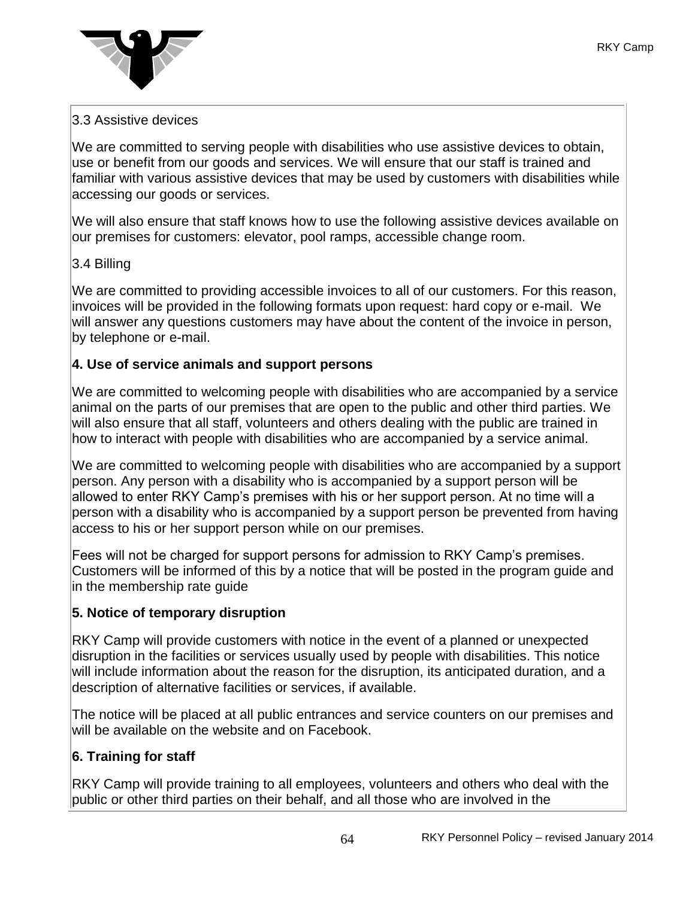

## 3.3 Assistive devices

We are committed to serving people with disabilities who use assistive devices to obtain, use or benefit from our goods and services. We will ensure that our staff is trained and familiar with various assistive devices that may be used by customers with disabilities while accessing our goods or services.

We will also ensure that staff knows how to use the following assistive devices available on our premises for customers: elevator, pool ramps, accessible change room.

## 3.4 Billing

We are committed to providing accessible invoices to all of our customers. For this reason, invoices will be provided in the following formats upon request: hard copy or e-mail. We will answer any questions customers may have about the content of the invoice in person, by telephone or e-mail.

#### **4. Use of service animals and support persons**

We are committed to welcoming people with disabilities who are accompanied by a service animal on the parts of our premises that are open to the public and other third parties. We will also ensure that all staff, volunteers and others dealing with the public are trained in how to interact with people with disabilities who are accompanied by a service animal.

We are committed to welcoming people with disabilities who are accompanied by a support person. Any person with a disability who is accompanied by a support person will be allowed to enter RKY Camp's premises with his or her support person. At no time will a person with a disability who is accompanied by a support person be prevented from having access to his or her support person while on our premises.

Fees will not be charged for support persons for admission to RKY Camp's premises. Customers will be informed of this by a notice that will be posted in the program guide and in the membership rate guide

#### **5. Notice of temporary disruption**

RKY Camp will provide customers with notice in the event of a planned or unexpected disruption in the facilities or services usually used by people with disabilities. This notice will include information about the reason for the disruption, its anticipated duration, and a description of alternative facilities or services, if available.

The notice will be placed at all public entrances and service counters on our premises and will be available on the website and on Facebook.

## **6. Training for staff**

RKY Camp will provide training to all employees, volunteers and others who deal with the public or other third parties on their behalf, and all those who are involved in the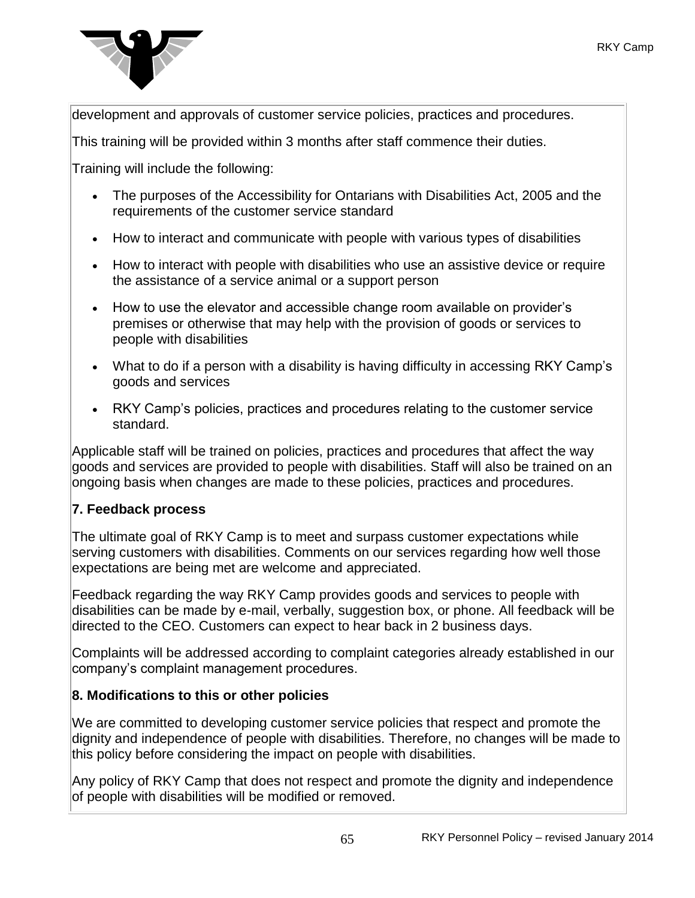

development and approvals of customer service policies, practices and procedures.

This training will be provided within 3 months after staff commence their duties.

Training will include the following:

- The purposes of the Accessibility for Ontarians with Disabilities Act, 2005 and the requirements of the customer service standard
- How to interact and communicate with people with various types of disabilities
- How to interact with people with disabilities who use an assistive device or require the assistance of a service animal or a support person
- How to use the elevator and accessible change room available on provider's premises or otherwise that may help with the provision of goods or services to people with disabilities
- What to do if a person with a disability is having difficulty in accessing RKY Camp's goods and services
- RKY Camp's policies, practices and procedures relating to the customer service standard.

Applicable staff will be trained on policies, practices and procedures that affect the way goods and services are provided to people with disabilities. Staff will also be trained on an ongoing basis when changes are made to these policies, practices and procedures.

# **7. Feedback process**

The ultimate goal of RKY Camp is to meet and surpass customer expectations while serving customers with disabilities. Comments on our services regarding how well those expectations are being met are welcome and appreciated.

Feedback regarding the way RKY Camp provides goods and services to people with disabilities can be made by e-mail, verbally, suggestion box, or phone. All feedback will be directed to the CEO. Customers can expect to hear back in 2 business days.

Complaints will be addressed according to complaint categories already established in our company's complaint management procedures.

# **8. Modifications to this or other policies**

We are committed to developing customer service policies that respect and promote the dignity and independence of people with disabilities. Therefore, no changes will be made to this policy before considering the impact on people with disabilities.

Any policy of RKY Camp that does not respect and promote the dignity and independence of people with disabilities will be modified or removed.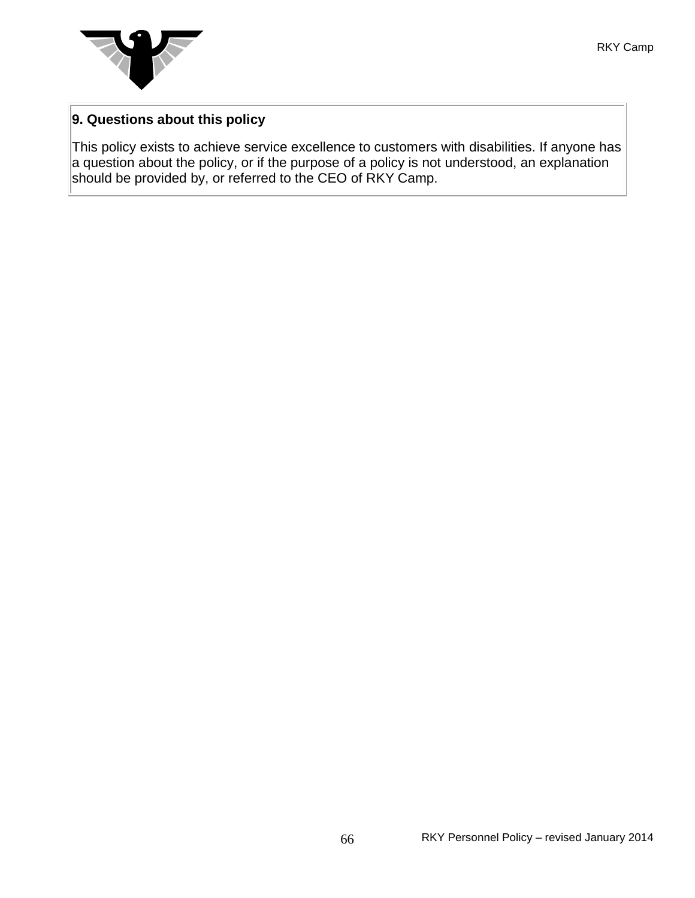

# **9. Questions about this policy**

This policy exists to achieve service excellence to customers with disabilities. If anyone has a question about the policy, or if the purpose of a policy is not understood, an explanation should be provided by, or referred to the CEO of RKY Camp.